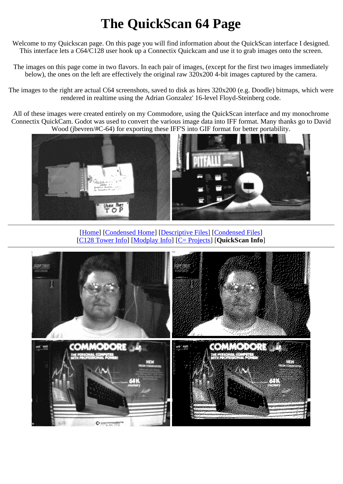## **The QuickScan 64 Page**

Welcome to my Quickscan page. On this page you will find information about the QuickScan interface I designed. This interface lets a C64/C128 user hook up a Connectix Quickcam and use it to grab images onto the screen.

The images on this page come in two flavors. In each pair of images, (except for the first two images immediately below), the ones on the left are effectively the original raw 320x200 4-bit images captured by the camera.

The images to the right are actual C64 screenshots, saved to disk as hires 320x200 (e.g. Doodle) bitmaps, which were rendered in realtime using the Adrian Gonzalez' 16-level Floyd-Steinberg code.

All of these images were created entirely on my Commodore, using the QuickScan interface and my monochrome Connectix QuickCam. Godot was used to convert the various image data into IFF format. Many thanks go to David Wood (jbevren/#C-64) for exporting these IFF'S into GIF format for better portability.



[Home] [Condensed Home] [Descriptive Files] [Condensed Files] [C128 Tower Info] [Modplay Info] [C= Projects] [**QuickScan Info**]